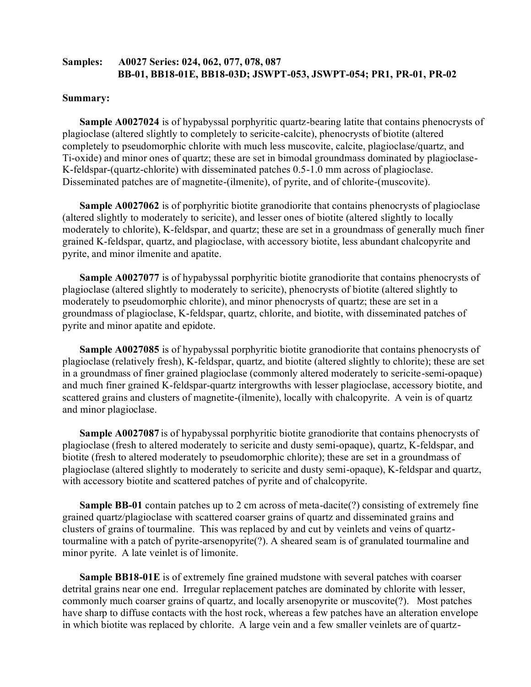# **Samples: A0027 Series: 024, 062, 077, 078, 087 BB-01, BB18-01E, BB18-03D; JSWPT-053, JSWPT-054; PR1, PR-01, PR-02**

#### **Summary:**

**Sample A0027024** is of hypabyssal porphyritic quartz-bearing latite that contains phenocrysts of plagioclase (altered slightly to completely to sericite-calcite), phenocrysts of biotite (altered completely to pseudomorphic chlorite with much less muscovite, calcite, plagioclase/quartz, and Ti-oxide) and minor ones of quartz; these are set in bimodal groundmass dominated by plagioclase-K-feldspar-(quartz-chlorite) with disseminated patches 0.5-1.0 mm across of plagioclase. Disseminated patches are of magnetite-(ilmenite), of pyrite, and of chlorite-(muscovite).

**Sample A0027062** is of porphyritic biotite granodiorite that contains phenocrysts of plagioclase (altered slightly to moderately to sericite), and lesser ones of biotite (altered slightly to locally moderately to chlorite), K-feldspar, and quartz; these are set in a groundmass of generally much finer grained K-feldspar, quartz, and plagioclase, with accessory biotite, less abundant chalcopyrite and pyrite, and minor ilmenite and apatite.

**Sample A0027077** is of hypabyssal porphyritic biotite granodiorite that contains phenocrysts of plagioclase (altered slightly to moderately to sericite), phenocrysts of biotite (altered slightly to moderately to pseudomorphic chlorite), and minor phenocrysts of quartz; these are set in a groundmass of plagioclase, K-feldspar, quartz, chlorite, and biotite, with disseminated patches of pyrite and minor apatite and epidote.

**Sample A0027085** is of hypabyssal porphyritic biotite granodiorite that contains phenocrysts of plagioclase (relatively fresh), K-feldspar, quartz, and biotite (altered slightly to chlorite); these are set in a groundmass of finer grained plagioclase (commonly altered moderately to sericite-semi-opaque) and much finer grained K-feldspar-quartz intergrowths with lesser plagioclase, accessory biotite, and scattered grains and clusters of magnetite-(ilmenite), locally with chalcopyrite. A vein is of quartz and minor plagioclase.

**Sample A0027087** is of hypabyssal porphyritic biotite granodiorite that contains phenocrysts of plagioclase (fresh to altered moderately to sericite and dusty semi-opaque), quartz, K-feldspar, and biotite (fresh to altered moderately to pseudomorphic chlorite); these are set in a groundmass of plagioclase (altered slightly to moderately to sericite and dusty semi-opaque), K-feldspar and quartz, with accessory biotite and scattered patches of pyrite and of chalcopyrite.

**Sample BB-01** contain patches up to 2 cm across of meta-dacite(?) consisting of extremely fine grained quartz/plagioclase with scattered coarser grains of quartz and disseminated grains and clusters of grains of tourmaline. This was replaced by and cut by veinlets and veins of quartztourmaline with a patch of pyrite-arsenopyrite(?). A sheared seam is of granulated tourmaline and minor pyrite. A late veinlet is of limonite.

**Sample BB18-01E** is of extremely fine grained mudstone with several patches with coarser detrital grains near one end. Irregular replacement patches are dominated by chlorite with lesser, commonly much coarser grains of quartz, and locally arsenopyrite or muscovite(?). Most patches have sharp to diffuse contacts with the host rock, whereas a few patches have an alteration envelope in which biotite was replaced by chlorite. A large vein and a few smaller veinlets are of quartz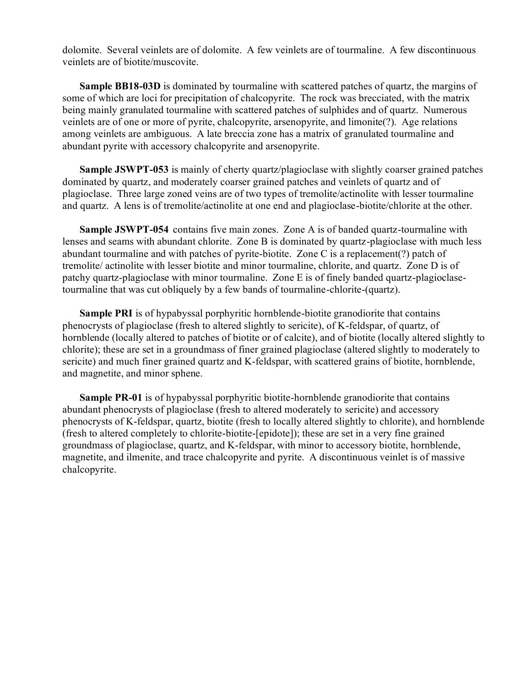dolomite. Several veinlets are of dolomite. A few veinlets are of tourmaline. A few discontinuous veinlets are of biotite/muscovite.

**Sample BB18-03D** is dominated by tourmaline with scattered patches of quartz, the margins of some of which are loci for precipitation of chalcopyrite. The rock was brecciated, with the matrix being mainly granulated tourmaline with scattered patches of sulphides and of quartz. Numerous veinlets are of one or more of pyrite, chalcopyrite, arsenopyrite, and limonite(?). Age relations among veinlets are ambiguous. A late breccia zone has a matrix of granulated tourmaline and abundant pyrite with accessory chalcopyrite and arsenopyrite.

**Sample JSWPT-053** is mainly of cherty quartz/plagioclase with slightly coarser grained patches dominated by quartz, and moderately coarser grained patches and veinlets of quartz and of plagioclase. Three large zoned veins are of two types of tremolite/actinolite with lesser tourmaline and quartz. A lens is of tremolite/actinolite at one end and plagioclase-biotite/chlorite at the other.

**Sample JSWPT-054** contains five main zones. Zone A is of banded quartz-tourmaline with lenses and seams with abundant chlorite. Zone B is dominated by quartz-plagioclase with much less abundant tourmaline and with patches of pyrite-biotite. Zone C is a replacement(?) patch of tremolite/ actinolite with lesser biotite and minor tourmaline, chlorite, and quartz. Zone D is of patchy quartz-plagioclase with minor tourmaline. Zone E is of finely banded quartz-plagioclasetourmaline that was cut obliquely by a few bands of tourmaline-chlorite-(quartz).

**Sample PRI** is of hypabyssal porphyritic hornblende-biotite granodiorite that contains phenocrysts of plagioclase (fresh to altered slightly to sericite), of K-feldspar, of quartz, of hornblende (locally altered to patches of biotite or of calcite), and of biotite (locally altered slightly to chlorite); these are set in a groundmass of finer grained plagioclase (altered slightly to moderately to sericite) and much finer grained quartz and K-feldspar, with scattered grains of biotite, hornblende, and magnetite, and minor sphene.

**Sample PR-01** is of hypabyssal porphyritic biotite-hornblende granodiorite that contains abundant phenocrysts of plagioclase (fresh to altered moderately to sericite) and accessory phenocrysts of K-feldspar, quartz, biotite (fresh to locally altered slightly to chlorite), and hornblende (fresh to altered completely to chlorite-biotite-[epidote]); these are set in a very fine grained groundmass of plagioclase, quartz, and K-feldspar, with minor to accessory biotite, hornblende, magnetite, and ilmenite, and trace chalcopyrite and pyrite. A discontinuous veinlet is of massive chalcopyrite.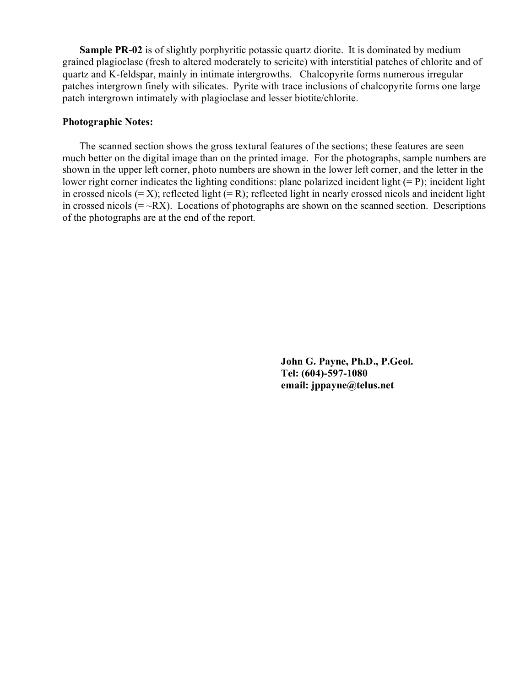**Sample PR-02** is of slightly porphyritic potassic quartz diorite. It is dominated by medium grained plagioclase (fresh to altered moderately to sericite) with interstitial patches of chlorite and of quartz and K-feldspar, mainly in intimate intergrowths. Chalcopyrite forms numerous irregular patches intergrown finely with silicates. Pyrite with trace inclusions of chalcopyrite forms one large patch intergrown intimately with plagioclase and lesser biotite/chlorite.

#### **Photographic Notes:**

The scanned section shows the gross textural features of the sections; these features are seen much better on the digital image than on the printed image. For the photographs, sample numbers are shown in the upper left corner, photo numbers are shown in the lower left corner, and the letter in the lower right corner indicates the lighting conditions: plane polarized incident light  $(= P)$ ; incident light in crossed nicols  $(= X)$ ; reflected light  $(= R)$ ; reflected light in nearly crossed nicols and incident light in crossed nicols  $(=\neg RX)$ . Locations of photographs are shown on the scanned section. Descriptions of the photographs are at the end of the report.

> **John G. Payne, Ph.D., P.Geol. Tel: (604)-597-1080 email: jppayne@telus.net**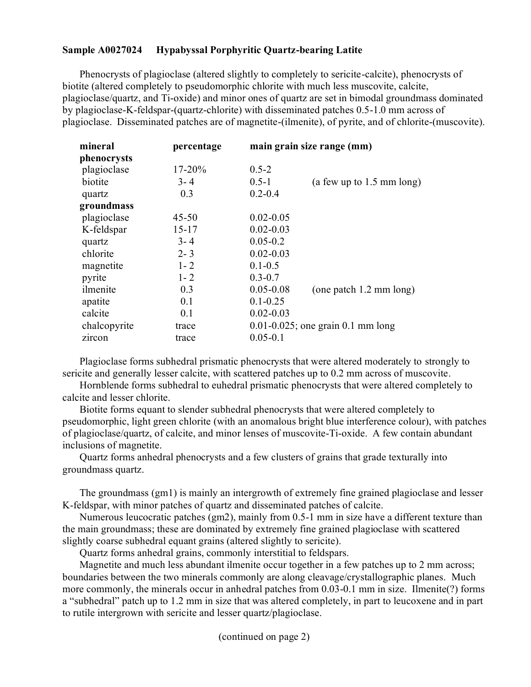## **Sample A0027024 Hypabyssal Porphyritic Quartz-bearing Latite**

Phenocrysts of plagioclase (altered slightly to completely to sericite-calcite), phenocrysts of biotite (altered completely to pseudomorphic chlorite with much less muscovite, calcite, plagioclase/quartz, and Ti-oxide) and minor ones of quartz are set in bimodal groundmass dominated by plagioclase-K-feldspar-(quartz-chlorite) with disseminated patches 0.5-1.0 mm across of plagioclase. Disseminated patches are of magnetite-(ilmenite), of pyrite, and of chlorite-(muscovite).

| mineral      | percentage | main grain size range (mm)                       |
|--------------|------------|--------------------------------------------------|
| phenocrysts  |            |                                                  |
| plagioclase  | $17 - 20%$ | $0.5 - 2$                                        |
| biotite      | $3 - 4$    | $0.5 - 1$<br>(a few up to $1.5 \text{ mm}$ long) |
| quartz       | 0.3        | $0.2 - 0.4$                                      |
| groundmass   |            |                                                  |
| plagioclase  | $45 - 50$  | $0.02 - 0.05$                                    |
| K-feldspar   | $15 - 17$  | $0.02 - 0.03$                                    |
| quartz       | $3 - 4$    | $0.05 - 0.2$                                     |
| chlorite     | $2 - 3$    | $0.02 - 0.03$                                    |
| magnetite    | $1 - 2$    | $0.1 - 0.5$                                      |
| pyrite       | $1 - 2$    | $0.3 - 0.7$                                      |
| ilmenite     | 0.3        | $0.05 - 0.08$<br>(one patch 1.2 mm long)         |
| apatite      | 0.1        | $0.1 - 0.25$                                     |
| calcite      | 0.1        | $0.02 - 0.03$                                    |
| chalcopyrite | trace      | $0.01 - 0.025$ ; one grain 0.1 mm long           |
| zircon       | trace      | $0.05 - 0.1$                                     |

Plagioclase forms subhedral prismatic phenocrysts that were altered moderately to strongly to sericite and generally lesser calcite, with scattered patches up to 0.2 mm across of muscovite.

Hornblende forms subhedral to euhedral prismatic phenocrysts that were altered completely to calcite and lesser chlorite.

Biotite forms equant to slender subhedral phenocrysts that were altered completely to pseudomorphic, light green chlorite (with an anomalous bright blue interference colour), with patches of plagioclase/quartz, of calcite, and minor lenses of muscovite-Ti-oxide. A few contain abundant inclusions of magnetite.

Quartz forms anhedral phenocrysts and a few clusters of grains that grade texturally into groundmass quartz.

The groundmass (gm1) is mainly an intergrowth of extremely fine grained plagioclase and lesser K-feldspar, with minor patches of quartz and disseminated patches of calcite.

Numerous leucocratic patches (gm2), mainly from 0.5-1 mm in size have a different texture than the main groundmass; these are dominated by extremely fine grained plagioclase with scattered slightly coarse subhedral equant grains (altered slightly to sericite).

Quartz forms anhedral grains, commonly interstitial to feldspars.

Magnetite and much less abundant ilmenite occur together in a few patches up to 2 mm across; boundaries between the two minerals commonly are along cleavage/crystallographic planes. Much more commonly, the minerals occur in anhedral patches from 0.03-0.1 mm in size. Ilmenite(?) forms a "subhedral" patch up to 1.2 mm in size that was altered completely, in part to leucoxene and in part to rutile intergrown with sericite and lesser quartz/plagioclase.

(continued on page 2)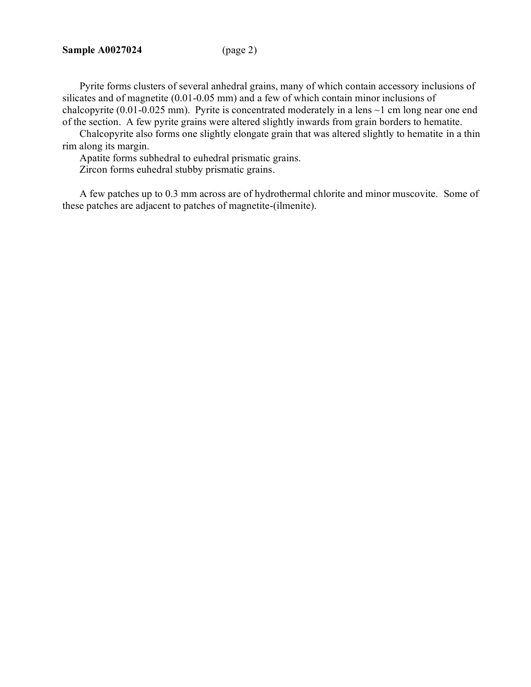Pyrite forms clusters of several anhedral grains, many of which contain accessory inclusions of silicates and of magnetite (0.01-0.05 mm) and a few of which contain minor inclusions of chalcopyrite (0.01-0.025 mm). Pyrite is concentrated moderately in a lens  $\sim$ 1 cm long near one end of the section. A few pyrite grains were altered slightly inwards from grain borders to hematite.

Chalcopyrite also forms one slightly elongate grain that was altered slightly to hematite in a thin rim along its margin.

Apatite forms subhedral to euhedral prismatic grains.

Zircon forms euhedral stubby prismatic grains.

A few patches up to 0.3 mm across are of hydrothermal chlorite and minor muscovite. Some of these patches are adjacent to patches of magnetite-(ilmenite).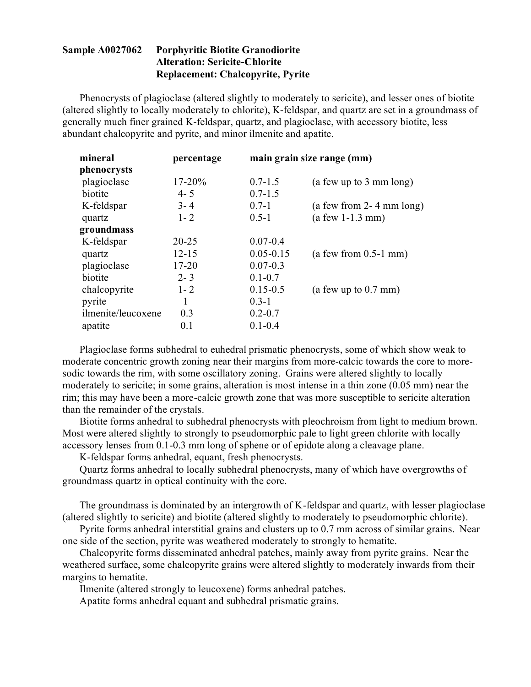# **Sample A0027062 Porphyritic Biotite Granodiorite Alteration: Sericite-Chlorite Replacement: Chalcopyrite, Pyrite**

Phenocrysts of plagioclase (altered slightly to moderately to sericite), and lesser ones of biotite (altered slightly to locally moderately to chlorite), K-feldspar, and quartz are set in a groundmass of generally much finer grained K-feldspar, quartz, and plagioclase, with accessory biotite, less abundant chalcopyrite and pyrite, and minor ilmenite and apatite.

| mineral            | percentage |               | main grain size range (mm) |
|--------------------|------------|---------------|----------------------------|
| phenocrysts        |            |               |                            |
| plagioclase        | $17 - 20%$ | $0.7 - 1.5$   | (a few up to 3 mm long)    |
| biotite            | $4 - 5$    | $0.7 - 1.5$   |                            |
| K-feldspar         | $3 - 4$    | $0.7 - 1$     | (a few from $2-4$ mm long) |
| quartz             | $1 - 2$    | $0.5 - 1$     | $(a few 1-1.3 mm)$         |
| groundmass         |            |               |                            |
| K-feldspar         | $20 - 25$  | $0.07 - 0.4$  |                            |
| quartz             | $12 - 15$  | $0.05 - 0.15$ | $(a few from 0.5-1 mm)$    |
| plagioclase        | $17 - 20$  | $0.07 - 0.3$  |                            |
| biotite            | $2 - 3$    | $0.1 - 0.7$   |                            |
| chalcopyrite       | $1 - 2$    | $0.15 - 0.5$  | (a few up to $0.7$ mm)     |
| pyrite             |            | $0.3 - 1$     |                            |
| ilmenite/leucoxene | 0.3        | $0.2 - 0.7$   |                            |
| apatite            | 0.1        | $0.1 - 0.4$   |                            |
|                    |            |               |                            |

Plagioclase forms subhedral to euhedral prismatic phenocrysts, some of which show weak to moderate concentric growth zoning near their margins from more-calcic towards the core to moresodic towards the rim, with some oscillatory zoning. Grains were altered slightly to locally moderately to sericite; in some grains, alteration is most intense in a thin zone (0.05 mm) near the rim; this may have been a more-calcic growth zone that was more susceptible to sericite alteration than the remainder of the crystals.

Biotite forms anhedral to subhedral phenocrysts with pleochroism from light to medium brown. Most were altered slightly to strongly to pseudomorphic pale to light green chlorite with locally accessory lenses from 0.1-0.3 mm long of sphene or of epidote along a cleavage plane.

K-feldspar forms anhedral, equant, fresh phenocrysts.

Quartz forms anhedral to locally subhedral phenocrysts, many of which have overgrowths of groundmass quartz in optical continuity with the core.

The groundmass is dominated by an intergrowth of K-feldspar and quartz, with lesser plagioclase (altered slightly to sericite) and biotite (altered slightly to moderately to pseudomorphic chlorite).

Pyrite forms anhedral interstitial grains and clusters up to 0.7 mm across of similar grains. Near one side of the section, pyrite was weathered moderately to strongly to hematite.

Chalcopyrite forms disseminated anhedral patches, mainly away from pyrite grains. Near the weathered surface, some chalcopyrite grains were altered slightly to moderately inwards from their margins to hematite.

Ilmenite (altered strongly to leucoxene) forms anhedral patches.

Apatite forms anhedral equant and subhedral prismatic grains.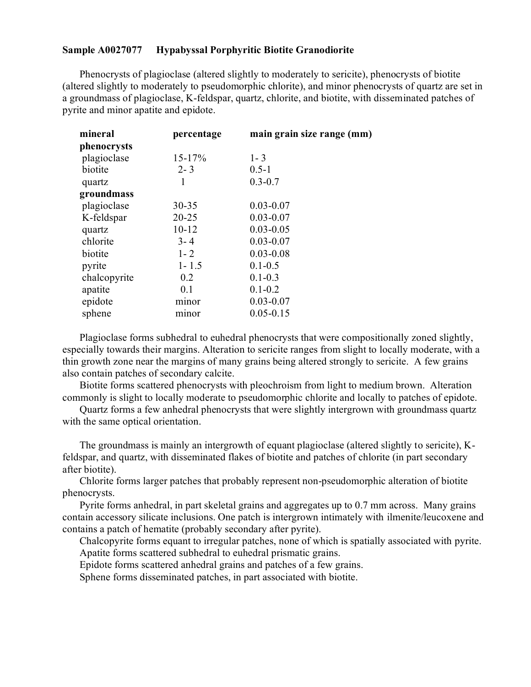# **Sample A0027077 Hypabyssal Porphyritic Biotite Granodiorite**

Phenocrysts of plagioclase (altered slightly to moderately to sericite), phenocrysts of biotite (altered slightly to moderately to pseudomorphic chlorite), and minor phenocrysts of quartz are set in a groundmass of plagioclase, K-feldspar, quartz, chlorite, and biotite, with disseminated patches of pyrite and minor apatite and epidote.

| mineral      | percentage | main grain size range (mm) |
|--------------|------------|----------------------------|
| phenocrysts  |            |                            |
| plagioclase  | $15 - 17%$ | $1 - 3$                    |
| biotite      | $2 - 3$    | $0.5 - 1$                  |
| quartz       | 1          | $0.3 - 0.7$                |
| groundmass   |            |                            |
| plagioclase  | $30 - 35$  | $0.03 - 0.07$              |
| K-feldspar   | $20 - 25$  | $0.03 - 0.07$              |
| quartz       | $10 - 12$  | $0.03 - 0.05$              |
| chlorite     | $3 - 4$    | $0.03 - 0.07$              |
| biotite      | $1 - 2$    | $0.03 - 0.08$              |
| pyrite       | $1 - 1.5$  | $0.1 - 0.5$                |
| chalcopyrite | 0.2        | $0.1 - 0.3$                |
| apatite      | 0.1        | $0.1 - 0.2$                |
| epidote      | minor      | $0.03 - 0.07$              |
| sphene       | minor      | $0.05 - 0.15$              |

Plagioclase forms subhedral to euhedral phenocrysts that were compositionally zoned slightly, especially towards their margins. Alteration to sericite ranges from slight to locally moderate, with a thin growth zone near the margins of many grains being altered strongly to sericite. A few grains also contain patches of secondary calcite.

Biotite forms scattered phenocrysts with pleochroism from light to medium brown. Alteration commonly is slight to locally moderate to pseudomorphic chlorite and locally to patches of epidote.

Quartz forms a few anhedral phenocrysts that were slightly intergrown with groundmass quartz with the same optical orientation.

The groundmass is mainly an intergrowth of equant plagioclase (altered slightly to sericite), Kfeldspar, and quartz, with disseminated flakes of biotite and patches of chlorite (in part secondary after biotite).

Chlorite forms larger patches that probably represent non-pseudomorphic alteration of biotite phenocrysts.

Pyrite forms anhedral, in part skeletal grains and aggregates up to 0.7 mm across. Many grains contain accessory silicate inclusions. One patch is intergrown intimately with ilmenite/leucoxene and contains a patch of hematite (probably secondary after pyrite).

Chalcopyrite forms equant to irregular patches, none of which is spatially associated with pyrite. Apatite forms scattered subhedral to euhedral prismatic grains.

Epidote forms scattered anhedral grains and patches of a few grains.

Sphene forms disseminated patches, in part associated with biotite.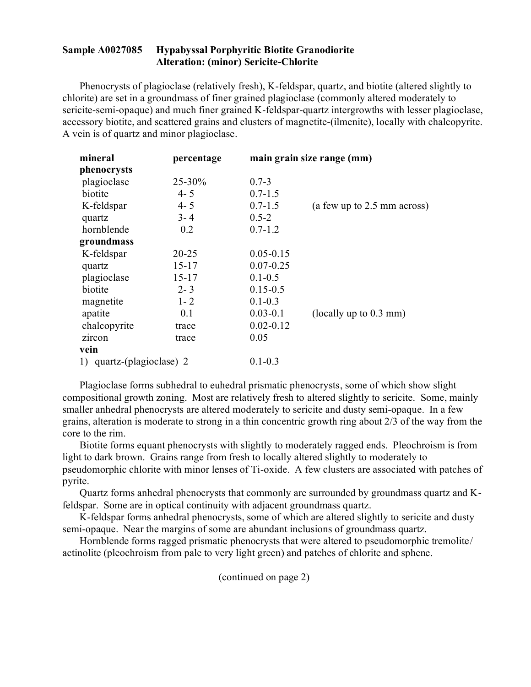## **Sample A0027085 Hypabyssal Porphyritic Biotite Granodiorite Alteration: (minor) Sericite-Chlorite**

Phenocrysts of plagioclase (relatively fresh), K-feldspar, quartz, and biotite (altered slightly to chlorite) are set in a groundmass of finer grained plagioclase (commonly altered moderately to sericite-semi-opaque) and much finer grained K-feldspar-quartz intergrowths with lesser plagioclase, accessory biotite, and scattered grains and clusters of magnetite-(ilmenite), locally with chalcopyrite. A vein is of quartz and minor plagioclase.

| mineral                   | percentage |               | main grain size range (mm)  |
|---------------------------|------------|---------------|-----------------------------|
| phenocrysts               |            |               |                             |
| plagioclase               | 25-30%     | $0.7 - 3$     |                             |
| biotite                   | $4 - 5$    | $0.7 - 1.5$   |                             |
| K-feldspar                | $4 - 5$    | $0.7 - 1.5$   | (a few up to 2.5 mm across) |
| quartz                    | $3 - 4$    | $0.5 - 2$     |                             |
| hornblende                | 0.2        | $0.7 - 1.2$   |                             |
| groundmass                |            |               |                             |
| K-feldspar                | $20 - 25$  | $0.05 - 0.15$ |                             |
| quartz                    | $15 - 17$  | $0.07 - 0.25$ |                             |
| plagioclase               | $15 - 17$  | $0.1 - 0.5$   |                             |
| biotite                   | $2 - 3$    | $0.15 - 0.5$  |                             |
| magnetite                 | $1 - 2$    | $0.1 - 0.3$   |                             |
| apatite                   | 0.1        | $0.03 - 0.1$  | (locally up to $0.3$ mm)    |
| chalcopyrite              | trace      | $0.02 - 0.12$ |                             |
| zircon                    | trace      | 0.05          |                             |
| vein                      |            |               |                             |
| 1) quartz-(plagioclase) 2 |            | $0.1 - 0.3$   |                             |

Plagioclase forms subhedral to euhedral prismatic phenocrysts, some of which show slight compositional growth zoning. Most are relatively fresh to altered slightly to sericite. Some, mainly smaller anhedral phenocrysts are altered moderately to sericite and dusty semi-opaque. In a few grains, alteration is moderate to strong in a thin concentric growth ring about 2/3 of the way from the core to the rim.

Biotite forms equant phenocrysts with slightly to moderately ragged ends. Pleochroism is from light to dark brown. Grains range from fresh to locally altered slightly to moderately to pseudomorphic chlorite with minor lenses of Ti-oxide. A few clusters are associated with patches of pyrite.

Quartz forms anhedral phenocrysts that commonly are surrounded by groundmass quartz and Kfeldspar. Some are in optical continuity with adjacent groundmass quartz.

K-feldspar forms anhedral phenocrysts, some of which are altered slightly to sericite and dusty semi-opaque. Near the margins of some are abundant inclusions of groundmass quartz.

Hornblende forms ragged prismatic phenocrysts that were altered to pseudomorphic tremolite/ actinolite (pleochroism from pale to very light green) and patches of chlorite and sphene.

(continued on page 2)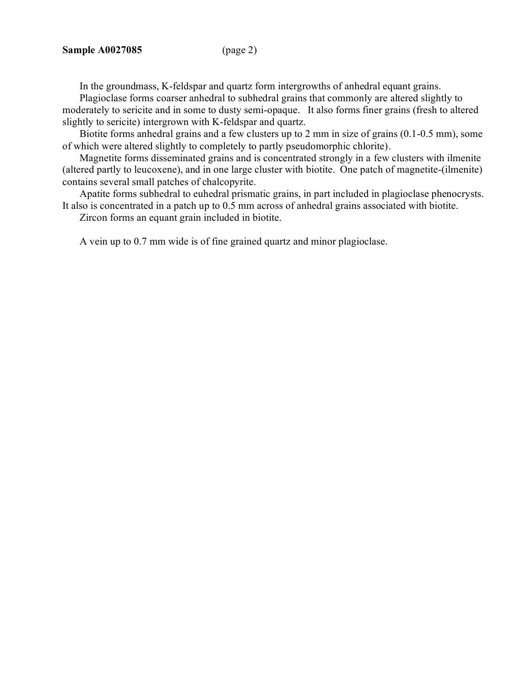In the groundmass, K-feldspar and quartz form intergrowths of anhedral equant grains.

Plagioclase forms coarser anhedral to subhedral grains that commonly are altered slightly to moderately to sericite and in some to dusty semi-opaque. It also forms finer grains (fresh to altered slightly to sericite) intergrown with K-feldspar and quartz.

Biotite forms anhedral grains and a few clusters up to 2 mm in size of grains (0.1-0.5 mm), some of which were altered slightly to completely to partly pseudomorphic chlorite).

Magnetite forms disseminated grains and is concentrated strongly in a few clusters with ilmenite (altered partly to leucoxene), and in one large cluster with biotite. One patch of magnetite-(ilmenite) contains several small patches of chalcopyrite.

Apatite forms subhedral to euhedral prismatic grains, in part included in plagioclase phenocrysts. It also is concentrated in a patch up to 0.5 mm across of anhedral grains associated with biotite.

Zircon forms an equant grain included in biotite.

A vein up to 0.7 mm wide is of fine grained quartz and minor plagioclase.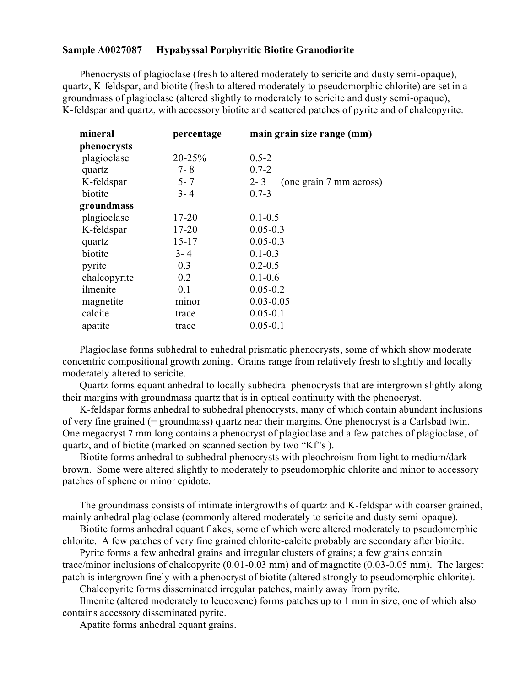# **Sample A0027087 Hypabyssal Porphyritic Biotite Granodiorite**

Phenocrysts of plagioclase (fresh to altered moderately to sericite and dusty semi-opaque), quartz, K-feldspar, and biotite (fresh to altered moderately to pseudomorphic chlorite) are set in a groundmass of plagioclase (altered slightly to moderately to sericite and dusty semi-opaque), K-feldspar and quartz, with accessory biotite and scattered patches of pyrite and of chalcopyrite.

| mineral      | percentage | main grain size range (mm)         |
|--------------|------------|------------------------------------|
| phenocrysts  |            |                                    |
| plagioclase  | 20-25%     | $0.5 - 2$                          |
| quartz       | $7 - 8$    | $0.7 - 2$                          |
| K-feldspar   | $5 - 7$    | $2 - 3$<br>(one grain 7 mm across) |
| biotite      | $3 - 4$    | $0.7 - 3$                          |
| groundmass   |            |                                    |
| plagioclase  | $17 - 20$  | $0.1 - 0.5$                        |
| K-feldspar   | $17 - 20$  | $0.05 - 0.3$                       |
| quartz       | $15 - 17$  | $0.05 - 0.3$                       |
| biotite      | $3 - 4$    | $0.1 - 0.3$                        |
| pyrite       | 0.3        | $0.2 - 0.5$                        |
| chalcopyrite | 0.2        | $0.1 - 0.6$                        |
| ilmenite     | 0.1        | $0.05 - 0.2$                       |
| magnetite    | minor      | $0.03 - 0.05$                      |
| calcite      | trace      | $0.05 - 0.1$                       |
| apatite      | trace      | $0.05 - 0.1$                       |

Plagioclase forms subhedral to euhedral prismatic phenocrysts, some of which show moderate concentric compositional growth zoning. Grains range from relatively fresh to slightly and locally moderately altered to sericite.

Quartz forms equant anhedral to locally subhedral phenocrysts that are intergrown slightly along their margins with groundmass quartz that is in optical continuity with the phenocryst.

K-feldspar forms anhedral to subhedral phenocrysts, many of which contain abundant inclusions of very fine grained (= groundmass) quartz near their margins. One phenocryst is a Carlsbad twin. One megacryst 7 mm long contains a phenocryst of plagioclase and a few patches of plagioclase, of quartz, and of biotite (marked on scanned section by two "Kf"s ).

Biotite forms anhedral to subhedral phenocrysts with pleochroism from light to medium/dark brown. Some were altered slightly to moderately to pseudomorphic chlorite and minor to accessory patches of sphene or minor epidote.

The groundmass consists of intimate intergrowths of quartz and K-feldspar with coarser grained, mainly anhedral plagioclase (commonly altered moderately to sericite and dusty semi-opaque).

Biotite forms anhedral equant flakes, some of which were altered moderately to pseudomorphic chlorite. A few patches of very fine grained chlorite-calcite probably are secondary after biotite.

Pyrite forms a few anhedral grains and irregular clusters of grains; a few grains contain trace/minor inclusions of chalcopyrite (0.01-0.03 mm) and of magnetite (0.03-0.05 mm). The largest patch is intergrown finely with a phenocryst of biotite (altered strongly to pseudomorphic chlorite).

Chalcopyrite forms disseminated irregular patches, mainly away from pyrite.

Ilmenite (altered moderately to leucoxene) forms patches up to 1 mm in size, one of which also contains accessory disseminated pyrite.

Apatite forms anhedral equant grains.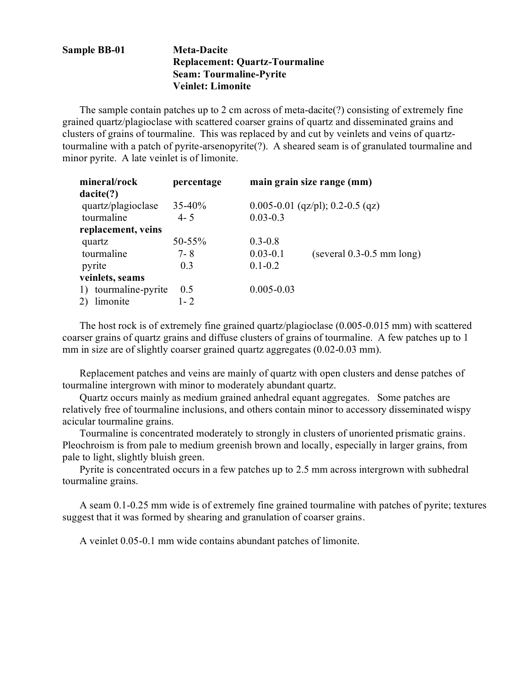# **Sample BB-01 Meta-Dacite Replacement: Quartz-Tourmaline Seam: Tourmaline-Pyrite Veinlet: Limonite**

The sample contain patches up to 2 cm across of meta-dacite(?) consisting of extremely fine grained quartz/plagioclase with scattered coarser grains of quartz and disseminated grains and clusters of grains of tourmaline. This was replaced by and cut by veinlets and veins of quartztourmaline with a patch of pyrite-arsenopyrite(?). A sheared seam is of granulated tourmaline and minor pyrite. A late veinlet is of limonite.

| mineral/rock            | percentage |                | main grain size range (mm)           |
|-------------------------|------------|----------------|--------------------------------------|
| dacite(?)               |            |                |                                      |
| quartz/plagioclase      | $35 - 40%$ |                | $0.005 - 0.01$ (qz/pl); 0.2-0.5 (qz) |
| tourmaline              | $4 - 5$    | $0.03 - 0.3$   |                                      |
| replacement, veins      |            |                |                                      |
| quartz                  | 50-55%     | $0.3 - 0.8$    |                                      |
| tourmaline              | $7 - 8$    | $0.03 - 0.1$   | $(several 0.3-0.5 mm long)$          |
| pyrite                  | 0.3        | $0.1 - 0.2$    |                                      |
| veinlets, seams         |            |                |                                      |
| tourmaline-pyrite<br>1) | 0.5        | $0.005 - 0.03$ |                                      |
| limonite<br>2)          | $1 - 2$    |                |                                      |

The host rock is of extremely fine grained quartz/plagioclase (0.005-0.015 mm) with scattered coarser grains of quartz grains and diffuse clusters of grains of tourmaline. A few patches up to 1 mm in size are of slightly coarser grained quartz aggregates (0.02-0.03 mm).

Replacement patches and veins are mainly of quartz with open clusters and dense patches of tourmaline intergrown with minor to moderately abundant quartz.

Quartz occurs mainly as medium grained anhedral equant aggregates. Some patches are relatively free of tourmaline inclusions, and others contain minor to accessory disseminated wispy acicular tourmaline grains.

Tourmaline is concentrated moderately to strongly in clusters of unoriented prismatic grains. Pleochroism is from pale to medium greenish brown and locally, especially in larger grains, from pale to light, slightly bluish green.

Pyrite is concentrated occurs in a few patches up to 2.5 mm across intergrown with subhedral tourmaline grains.

A seam 0.1-0.25 mm wide is of extremely fine grained tourmaline with patches of pyrite; textures suggest that it was formed by shearing and granulation of coarser grains.

A veinlet 0.05-0.1 mm wide contains abundant patches of limonite.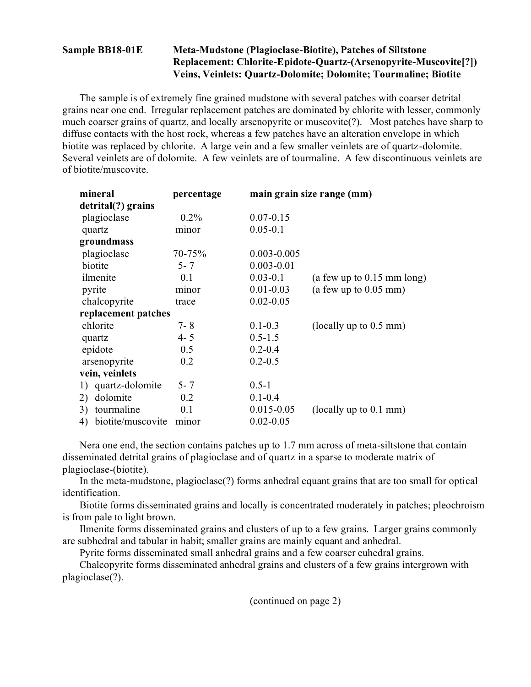# **Sample BB18-01E Meta-Mudstone (Plagioclase-Biotite), Patches of Siltstone Replacement: Chlorite-Epidote-Quartz-(Arsenopyrite-Muscovite[?]) Veins, Veinlets: Quartz-Dolomite; Dolomite; Tourmaline; Biotite**

The sample is of extremely fine grained mudstone with several patches with coarser detrital grains near one end. Irregular replacement patches are dominated by chlorite with lesser, commonly much coarser grains of quartz, and locally arsenopyrite or muscovite(?). Most patches have sharp to diffuse contacts with the host rock, whereas a few patches have an alteration envelope in which biotite was replaced by chlorite. A large vein and a few smaller veinlets are of quartz-dolomite. Several veinlets are of dolomite. A few veinlets are of tourmaline. A few discontinuous veinlets are of biotite/muscovite.

| mineral                 | percentage |                 | main grain size range (mm)   |
|-------------------------|------------|-----------------|------------------------------|
| detrital(?) grains      |            |                 |                              |
| plagioclase             | $0.2\%$    | $0.07 - 0.15$   |                              |
| quartz                  | minor      | $0.05 - 0.1$    |                              |
| groundmass              |            |                 |                              |
| plagioclase             | 70-75%     | $0.003 - 0.005$ |                              |
| biotite                 | $5 - 7$    | $0.003 - 0.01$  |                              |
| ilmenite                | 0.1        | $0.03 - 0.1$    | (a few up to $0.15$ mm long) |
| pyrite                  | minor      | $0.01 - 0.03$   | (a few up to $0.05$ mm)      |
| chalcopyrite            | trace      | $0.02 - 0.05$   |                              |
| replacement patches     |            |                 |                              |
| chlorite                | $7 - 8$    | $0.1 - 0.3$     | (locally up to $0.5$ mm)     |
| quartz                  | $4 - 5$    | $0.5 - 1.5$     |                              |
| epidote                 | 0.5        | $0.2 - 0.4$     |                              |
| arsenopyrite            | 0.2        | $0.2 - 0.5$     |                              |
| vein, veinlets          |            |                 |                              |
| 1) quartz-dolomite      | $5 - 7$    | $0.5 - 1$       |                              |
| dolomite<br>2)          | 0.2        | $0.1 - 0.4$     |                              |
| tourmaline<br>3)        | 0.1        | $0.015 - 0.05$  | (locally up to $0.1$ mm)     |
| biotite/muscovite<br>4) | minor      | $0.02 - 0.05$   |                              |

Nera one end, the section contains patches up to 1.7 mm across of meta-siltstone that contain disseminated detrital grains of plagioclase and of quartz in a sparse to moderate matrix of plagioclase-(biotite).

In the meta-mudstone, plagioclase(?) forms anhedral equant grains that are too small for optical identification.

Biotite forms disseminated grains and locally is concentrated moderately in patches; pleochroism is from pale to light brown.

Ilmenite forms disseminated grains and clusters of up to a few grains. Larger grains commonly are subhedral and tabular in habit; smaller grains are mainly equant and anhedral.

Pyrite forms disseminated small anhedral grains and a few coarser euhedral grains.

Chalcopyrite forms disseminated anhedral grains and clusters of a few grains intergrown with plagioclase(?).

(continued on page 2)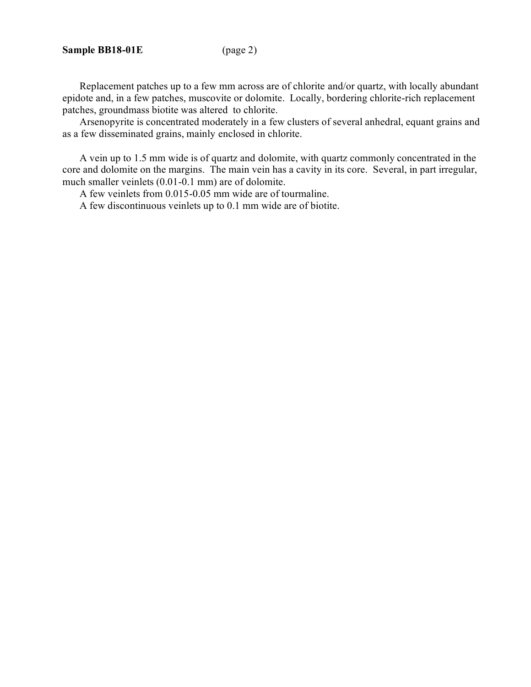Replacement patches up to a few mm across are of chlorite and/or quartz, with locally abundant epidote and, in a few patches, muscovite or dolomite. Locally, bordering chlorite-rich replacement patches, groundmass biotite was altered to chlorite.

Arsenopyrite is concentrated moderately in a few clusters of several anhedral, equant grains and as a few disseminated grains, mainly enclosed in chlorite.

A vein up to 1.5 mm wide is of quartz and dolomite, with quartz commonly concentrated in the core and dolomite on the margins. The main vein has a cavity in its core. Several, in part irregular, much smaller veinlets (0.01-0.1 mm) are of dolomite.

A few veinlets from 0.015-0.05 mm wide are of tourmaline.

A few discontinuous veinlets up to 0.1 mm wide are of biotite.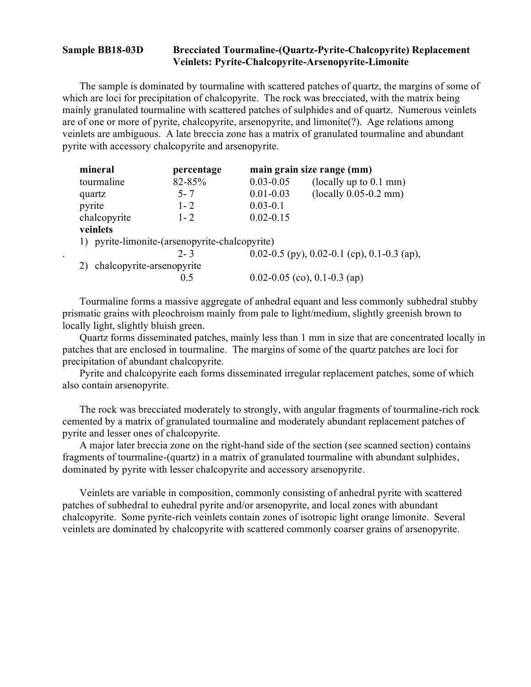## **Sample BB18-03D Brecciated Tourmaline-(Quartz-Pyrite-Chalcopyrite) Replacement Veinlets: Pyrite-Chalcopyrite-Arsenopyrite-Limonite**

The sample is dominated by tourmaline with scattered patches of quartz, the margins of some of which are loci for precipitation of chalcopyrite. The rock was brecciated, with the matrix being mainly granulated tourmaline with scattered patches of sulphides and of quartz. Numerous veinlets are of one or more of pyrite, chalcopyrite, arsenopyrite, and limonite(?). Age relations among veinlets are ambiguous. A late breccia zone has a matrix of granulated tourmaline and abundant pyrite with accessory chalcopyrite and arsenopyrite.

|        | mineral                      | percentage                                     |               | main grain size range (mm)                  |
|--------|------------------------------|------------------------------------------------|---------------|---------------------------------------------|
|        | tourmaline                   | 82-85%                                         | $0.03 - 0.05$ | (locally up to 0.1 mm)                      |
| quartz |                              | $5 - 7$                                        | $0.01 - 0.03$ | $(locally 0.05-0.2 mm)$                     |
| pyrite |                              | $1 - 2$                                        | $0.03 - 0.1$  |                                             |
|        | chalcopyrite                 | $1 - 2$                                        | $0.02 - 0.15$ |                                             |
|        | veinlets                     |                                                |               |                                             |
|        |                              | 1) pyrite-limonite-(arsenopyrite-chalcopyrite) |               |                                             |
|        |                              | $2 - 3$                                        |               | 0.02-0.5 (py), 0.02-0.1 (cp), 0.1-0.3 (ap), |
|        | 2) chalcopyrite-arsenopyrite |                                                |               |                                             |
|        |                              | 0.5                                            |               | 0.02-0.05 (co), 0.1-0.3 (ap)                |

Tourmaline forms a massive aggregate of anhedral equant and less commonly subhedral stubby prismatic grains with pleochroism mainly from pale to light/medium, slightly greenish brown to locally light, slightly bluish green.

Quartz forms disseminated patches, mainly less than 1 mm in size that are concentrated locally in patches that are enclosed in tourmaline. The margins of some of the quartz patches are loci for precipitation of abundant chalcopyrite.

Pyrite and chalcopyrite each forms disseminated irregular replacement patches, some of which also contain arsenopyrite.

The rock was brecciated moderately to strongly, with angular fragments of tourmaline-rich rock cemented by a matrix of granulated tourmaline and moderately abundant replacement patches of pyrite and lesser ones of chalcopyrite.

A major later breccia zone on the right-hand side of the section (see scanned section) contains fragments of tourmaline-(quartz) in a matrix of granulated tourmaline with abundant sulphides, dominated by pyrite with lesser chalcopyrite and accessory arsenopyrite.

Veinlets are variable in composition, commonly consisting of anhedral pyrite with scattered patches of subhedral to euhedral pyrite and/or arsenopyrite, and local zones with abundant chalcopyrite. Some pyrite-rich veinlets contain zones of isotropic light orange limonite. Several veinlets are dominated by chalcopyrite with scattered commonly coarser grains of arsenopyrite.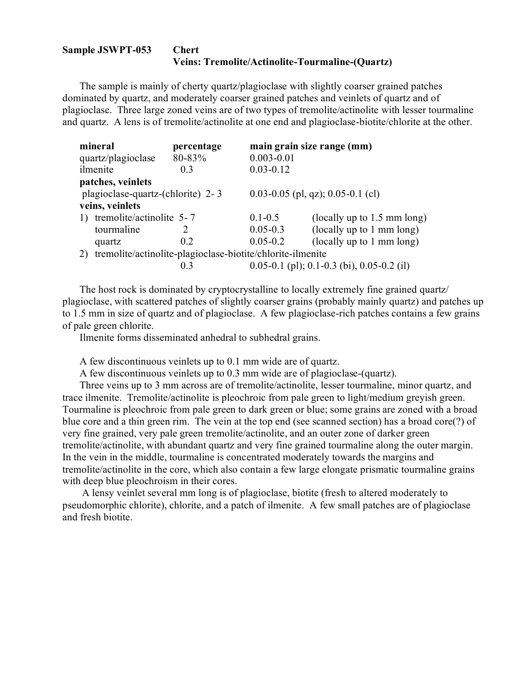#### **Sample JSWPT-053 Chert Veins: Tremolite/Actinolite-Tourmaline-(Quartz)**

The sample is mainly of cherty quartz/plagioclase with slightly coarser grained patches dominated by quartz, and moderately coarser grained patches and veinlets of quartz and of plagioclase. Three large zoned veins are of two types of tremolite/actinolite with lesser tourmaline and quartz. A lens is of tremolite/actinolite at one end and plagioclase-biotite/chlorite at the other.

|                                                                  | mineral                           | percentage |                | main grain size range (mm)                   |
|------------------------------------------------------------------|-----------------------------------|------------|----------------|----------------------------------------------|
|                                                                  | quartz/plagioclase                | 80-83%     | $0.003 - 0.01$ |                                              |
|                                                                  | ilmenite                          | 0.3        | $0.03 - 0.12$  |                                              |
|                                                                  | patches, veinlets                 |            |                |                                              |
|                                                                  | plagioclase-quartz-(chlorite) 2-3 |            |                | $0.03 - 0.05$ (pl, qz); 0.05-0.1 (cl)        |
|                                                                  | veins, veinlets                   |            |                |                                              |
|                                                                  | tremolite/actinolite 5-7          |            | $0.1 - 0.5$    | (locally up to $1.5$ mm long)                |
|                                                                  | tourmaline                        |            | $0.05 - 0.3$   | (locally up to 1 mm long)                    |
|                                                                  | quartz                            | 0.2        | $0.05 - 0.2$   | (locally up to 1 mm long)                    |
| tremolite/actinolite-plagioclase-biotite/chlorite-ilmenite<br>2) |                                   |            |                |                                              |
|                                                                  |                                   | 0.3        |                | $0.05-0.1$ (pl); 0.1-0.3 (bi), 0.05-0.2 (il) |

The host rock is dominated by cryptocrystalline to locally extremely fine grained quartz/ plagioclase, with scattered patches of slightly coarser grains (probably mainly quartz) and patches up to 1.5 mm in size of quartz and of plagioclase. A few plagioclase-rich patches contains a few grains of pale green chlorite.

Ilmenite forms disseminated anhedral to subhedral grains.

A few discontinuous veinlets up to 0.1 mm wide are of quartz.

A few discontinuous veinlets up to 0.3 mm wide are of plagioclase-(quartz).

Three veins up to 3 mm across are of tremolite/actinolite, lesser tourmaline, minor quartz, and trace ilmenite. Tremolite/actinolite is pleochroic from pale green to light/medium greyish green. Tourmaline is pleochroic from pale green to dark green or blue; some grains are zoned with a broad blue core and a thin green rim. The vein at the top end (see scanned section) has a broad core(?) of very fine grained, very pale green tremolite/actinolite, and an outer zone of darker green tremolite/actinolite, with abundant quartz and very fine grained tourmaline along the outer margin. In the vein in the middle, tourmaline is concentrated moderately towards the margins and tremolite/actinolite in the core, which also contain a few large elongate prismatic tourmaline grains with deep blue pleochroism in their cores.

A lensy veinlet several mm long is of plagioclase, biotite (fresh to altered moderately to pseudomorphic chlorite), chlorite, and a patch of ilmenite. A few small patches are of plagioclase and fresh biotite.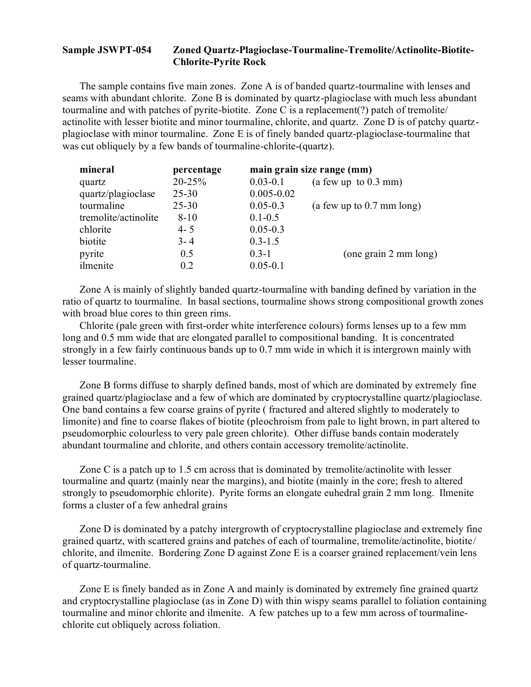### **Sample JSWPT-054 Zoned Quartz-Plagioclase-Tourmaline-Tremolite/Actinolite-Biotite-Chlorite-Pyrite Rock**

The sample contains five main zones. Zone A is of banded quartz-tourmaline with lenses and seams with abundant chlorite. Zone B is dominated by quartz-plagioclase with much less abundant tourmaline and with patches of pyrite-biotite. Zone C is a replacement(?) patch of tremolite/ actinolite with lesser biotite and minor tourmaline, chlorite, and quartz. Zone D is of patchy quartzplagioclase with minor tourmaline. Zone E is of finely banded quartz-plagioclase-tourmaline that was cut obliquely by a few bands of tourmaline-chlorite-(quartz).

| mineral              | percentage |                | main grain size range (mm)  |
|----------------------|------------|----------------|-----------------------------|
| quartz               | 20-25%     | $0.03 - 0.1$   | (a few up to $0.3$ mm)      |
| quartz/plagioclase   | $25 - 30$  | $0.005 - 0.02$ |                             |
| tourmaline           | $25 - 30$  | $0.05 - 0.3$   | (a few up to $0.7$ mm long) |
| tremolite/actinolite | $8 - 10$   | $0.1 - 0.5$    |                             |
| chlorite             | $4 - 5$    | $0.05 - 0.3$   |                             |
| biotite              | $3 - 4$    | $0.3 - 1.5$    |                             |
| pyrite               | 0.5        | $0.3 - 1$      | (one grain 2 mm long)       |
| ilmenite             | 0.2        | $0.05 - 0.1$   |                             |

Zone A is mainly of slightly banded quartz-tourmaline with banding defined by variation in the ratio of quartz to tourmaline. In basal sections, tourmaline shows strong compositional growth zones with broad blue cores to thin green rims.

Chlorite (pale green with first-order white interference colours) forms lenses up to a few mm long and 0.5 mm wide that are elongated parallel to compositional banding. It is concentrated strongly in a few fairly continuous bands up to 0.7 mm wide in which it is intergrown mainly with lesser tourmaline.

Zone B forms diffuse to sharply defined bands, most of which are dominated by extremely fine grained quartz/plagioclase and a few of which are dominated by cryptocrystalline quartz/plagioclase. One band contains a few coarse grains of pyrite ( fractured and altered slightly to moderately to limonite) and fine to coarse flakes of biotite (pleochroism from pale to light brown, in part altered to pseudomorphic colourless to very pale green chlorite). Other diffuse bands contain moderately abundant tourmaline and chlorite, and others contain accessory tremolite/actinolite.

Zone C is a patch up to 1.5 cm across that is dominated by tremolite/actinolite with lesser tourmaline and quartz (mainly near the margins), and biotite (mainly in the core; fresh to altered strongly to pseudomorphic chlorite). Pyrite forms an elongate euhedral grain 2 mm long. Ilmenite forms a cluster of a few anhedral grains

Zone D is dominated by a patchy intergrowth of cryptocrystalline plagioclase and extremely fine grained quartz, with scattered grains and patches of each of tourmaline, tremolite/actinolite, biotite/ chlorite, and ilmenite. Bordering Zone D against Zone E is a coarser grained replacement/vein lens of quartz-tourmaline.

Zone E is finely banded as in Zone A and mainly is dominated by extremely fine grained quartz and cryptocrystalline plagioclase (as in Zone D) with thin wispy seams parallel to foliation containing tourmaline and minor chlorite and ilmenite. A few patches up to a few mm across of tourmalinechlorite cut obliquely across foliation.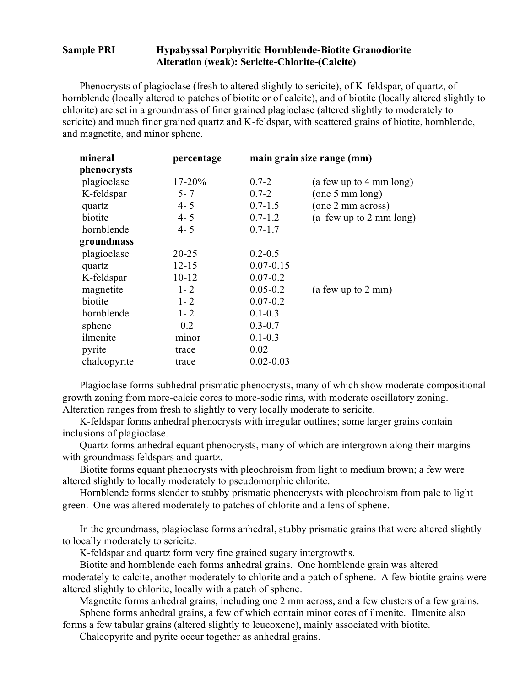## **Sample PRI Hypabyssal Porphyritic Hornblende-Biotite Granodiorite Alteration (weak): Sericite-Chlorite-(Calcite)**

Phenocrysts of plagioclase (fresh to altered slightly to sericite), of K-feldspar, of quartz, of hornblende (locally altered to patches of biotite or of calcite), and of biotite (locally altered slightly to chlorite) are set in a groundmass of finer grained plagioclase (altered slightly to moderately to sericite) and much finer grained quartz and K-feldspar, with scattered grains of biotite, hornblende, and magnetite, and minor sphene.

| mineral      | percentage |               | main grain size range (mm)        |
|--------------|------------|---------------|-----------------------------------|
| phenocrysts  |            |               |                                   |
| plagioclase  | $17 - 20%$ | $0.7 - 2$     | (a few up to 4 mm long)           |
| K-feldspar   | $5 - 7$    | $0.7 - 2$     | (one 5 mm long)                   |
| quartz       | $4 - 5$    | $0.7 - 1.5$   | (one 2 mm across)                 |
| biotite      | $4 - 5$    | $0.7 - 1.2$   | (a few up to $2 \text{ mm}$ long) |
| hornblende   | $4 - 5$    | $0.7 - 1.7$   |                                   |
| groundmass   |            |               |                                   |
| plagioclase  | $20 - 25$  | $0.2 - 0.5$   |                                   |
| quartz       | $12 - 15$  | $0.07 - 0.15$ |                                   |
| K-feldspar   | $10 - 12$  | $0.07 - 0.2$  |                                   |
| magnetite    | $1 - 2$    | $0.05 - 0.2$  | (a few up to 2 mm)                |
| biotite      | $1 - 2$    | $0.07 - 0.2$  |                                   |
| hornblende   | $1 - 2$    | $0.1 - 0.3$   |                                   |
| sphene       | 0.2        | $0.3 - 0.7$   |                                   |
| ilmenite     | minor      | $0.1 - 0.3$   |                                   |
| pyrite       | trace      | 0.02          |                                   |
| chalcopyrite | trace      | $0.02 - 0.03$ |                                   |

Plagioclase forms subhedral prismatic phenocrysts, many of which show moderate compositional growth zoning from more-calcic cores to more-sodic rims, with moderate oscillatory zoning. Alteration ranges from fresh to slightly to very locally moderate to sericite.

K-feldspar forms anhedral phenocrysts with irregular outlines; some larger grains contain inclusions of plagioclase.

Quartz forms anhedral equant phenocrysts, many of which are intergrown along their margins with groundmass feldspars and quartz.

Biotite forms equant phenocrysts with pleochroism from light to medium brown; a few were altered slightly to locally moderately to pseudomorphic chlorite.

Hornblende forms slender to stubby prismatic phenocrysts with pleochroism from pale to light green. One was altered moderately to patches of chlorite and a lens of sphene.

In the groundmass, plagioclase forms anhedral, stubby prismatic grains that were altered slightly to locally moderately to sericite.

K-feldspar and quartz form very fine grained sugary intergrowths.

Biotite and hornblende each forms anhedral grains. One hornblende grain was altered moderately to calcite, another moderately to chlorite and a patch of sphene. A few biotite grains were altered slightly to chlorite, locally with a patch of sphene.

Magnetite forms anhedral grains, including one 2 mm across, and a few clusters of a few grains. Sphene forms anhedral grains, a few of which contain minor cores of ilmenite. Ilmenite also

forms a few tabular grains (altered slightly to leucoxene), mainly associated with biotite.

Chalcopyrite and pyrite occur together as anhedral grains.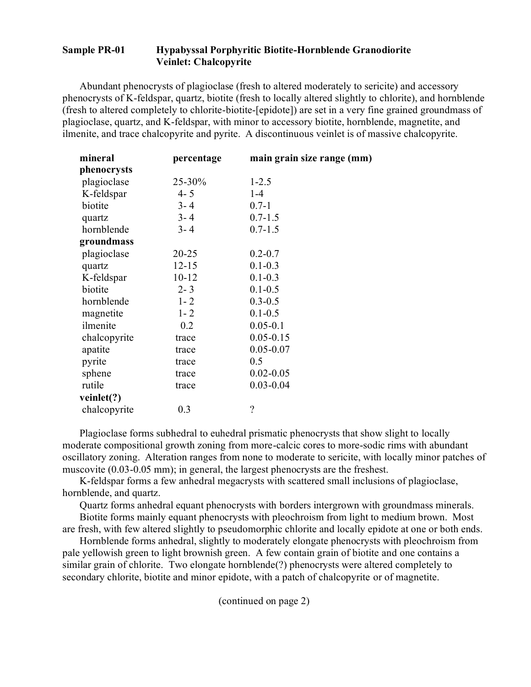# **Sample PR-01 Hypabyssal Porphyritic Biotite-Hornblende Granodiorite Veinlet: Chalcopyrite**

Abundant phenocrysts of plagioclase (fresh to altered moderately to sericite) and accessory phenocrysts of K-feldspar, quartz, biotite (fresh to locally altered slightly to chlorite), and hornblende (fresh to altered completely to chlorite-biotite-[epidote]) are set in a very fine grained groundmass of plagioclase, quartz, and K-feldspar, with minor to accessory biotite, hornblende, magnetite, and ilmenite, and trace chalcopyrite and pyrite. A discontinuous veinlet is of massive chalcopyrite.

| mineral      | percentage | main grain size range (mm) |
|--------------|------------|----------------------------|
| phenocrysts  |            |                            |
| plagioclase  | 25-30%     | $1 - 2.5$                  |
| K-feldspar   | $4 - 5$    | $1-4$                      |
| biotite      | $3 - 4$    | $0.7 - 1$                  |
| quartz       | $3 - 4$    | $0.7 - 1.5$                |
| hornblende   | $3 - 4$    | $0.7 - 1.5$                |
| groundmass   |            |                            |
| plagioclase  | $20 - 25$  | $0.2 - 0.7$                |
| quartz       | $12 - 15$  | $0.1 - 0.3$                |
| K-feldspar   | $10 - 12$  | $0.1 - 0.3$                |
| biotite      | $2 - 3$    | $0.1 - 0.5$                |
| hornblende   | $1 - 2$    | $0.3 - 0.5$                |
| magnetite    | $1 - 2$    | $0.1 - 0.5$                |
| ilmenite     | 0.2        | $0.05 - 0.1$               |
| chalcopyrite | trace      | $0.05 - 0.15$              |
| apatite      | trace      | $0.05 - 0.07$              |
| pyrite       | trace      | 0.5                        |
| sphene       | trace      | $0.02 - 0.05$              |
| rutile       | trace      | $0.03 - 0.04$              |
| veinlet(?)   |            |                            |
| chalcopyrite | 0.3        | $\overline{\phantom{a}}$   |
|              |            |                            |

Plagioclase forms subhedral to euhedral prismatic phenocrysts that show slight to locally moderate compositional growth zoning from more-calcic cores to more-sodic rims with abundant oscillatory zoning. Alteration ranges from none to moderate to sericite, with locally minor patches of muscovite (0.03-0.05 mm); in general, the largest phenocrysts are the freshest.

K-feldspar forms a few anhedral megacrysts with scattered small inclusions of plagioclase, hornblende, and quartz.

Quartz forms anhedral equant phenocrysts with borders intergrown with groundmass minerals.

Biotite forms mainly equant phenocrysts with pleochroism from light to medium brown. Most are fresh, with few altered slightly to pseudomorphic chlorite and locally epidote at one or both ends.

Hornblende forms anhedral, slightly to moderately elongate phenocrysts with pleochroism from pale yellowish green to light brownish green. A few contain grain of biotite and one contains a similar grain of chlorite. Two elongate hornblende(?) phenocrysts were altered completely to secondary chlorite, biotite and minor epidote, with a patch of chalcopyrite or of magnetite.

(continued on page 2)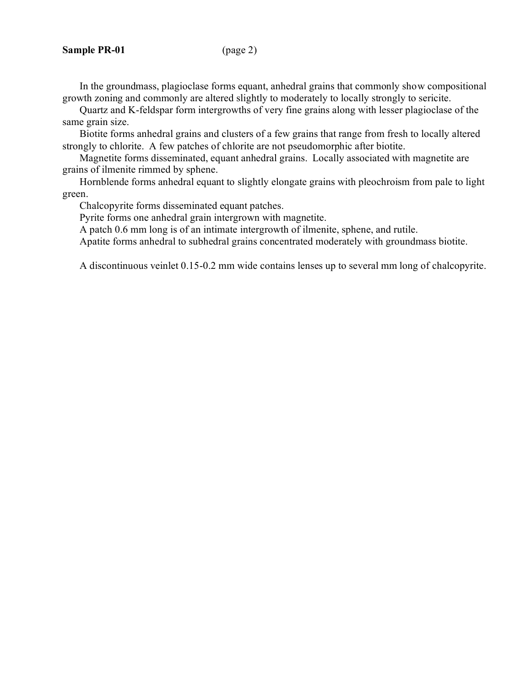In the groundmass, plagioclase forms equant, anhedral grains that commonly show compositional growth zoning and commonly are altered slightly to moderately to locally strongly to sericite.

Quartz and K-feldspar form intergrowths of very fine grains along with lesser plagioclase of the same grain size.

Biotite forms anhedral grains and clusters of a few grains that range from fresh to locally altered strongly to chlorite. A few patches of chlorite are not pseudomorphic after biotite.

Magnetite forms disseminated, equant anhedral grains. Locally associated with magnetite are grains of ilmenite rimmed by sphene.

Hornblende forms anhedral equant to slightly elongate grains with pleochroism from pale to light green.

Chalcopyrite forms disseminated equant patches.

Pyrite forms one anhedral grain intergrown with magnetite.

A patch 0.6 mm long is of an intimate intergrowth of ilmenite, sphene, and rutile.

Apatite forms anhedral to subhedral grains concentrated moderately with groundmass biotite.

A discontinuous veinlet 0.15-0.2 mm wide contains lenses up to several mm long of chalcopyrite.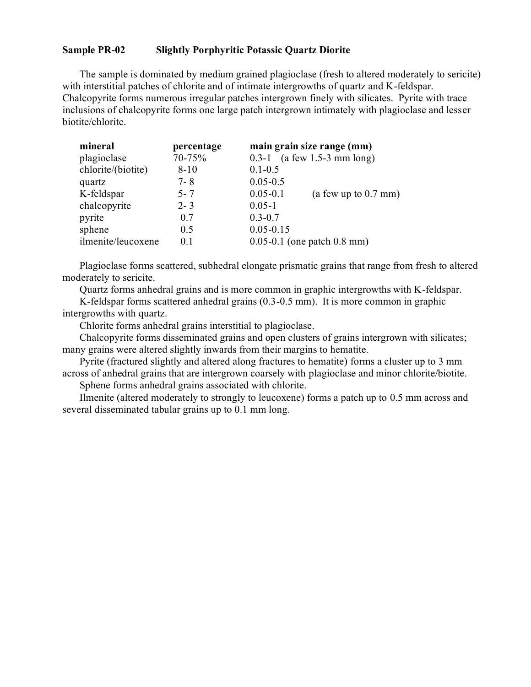#### **Sample PR-02 Slightly Porphyritic Potassic Quartz Diorite**

The sample is dominated by medium grained plagioclase (fresh to altered moderately to sericite) with interstitial patches of chlorite and of intimate intergrowths of quartz and K-feldspar. Chalcopyrite forms numerous irregular patches intergrown finely with silicates. Pyrite with trace inclusions of chalcopyrite forms one large patch intergrown intimately with plagioclase and lesser biotite/chlorite.

| mineral            | percentage | main grain size range (mm)             |
|--------------------|------------|----------------------------------------|
| plagioclase        | 70-75%     | $(a few 1.5-3 mm long)$<br>$0.3 - 1$   |
| chlorite/(biotite) | $8 - 10$   | $0.1 - 0.5$                            |
| quartz             | $7 - 8$    | $0.05 - 0.5$                           |
| K-feldspar         | $5 - 7$    | $0.05 - 0.1$<br>(a few up to $0.7$ mm) |
| chalcopyrite       | $2 - 3$    | $0.05 - 1$                             |
| pyrite             | 0.7        | $0.3 - 0.7$                            |
| sphene             | 0.5        | $0.05 - 0.15$                          |
| ilmenite/leucoxene | 0.1        | $0.05 - 0.1$ (one patch 0.8 mm)        |

Plagioclase forms scattered, subhedral elongate prismatic grains that range from fresh to altered moderately to sericite.

Quartz forms anhedral grains and is more common in graphic intergrowths with K-feldspar.

K-feldspar forms scattered anhedral grains (0.3-0.5 mm). It is more common in graphic intergrowths with quartz.

Chlorite forms anhedral grains interstitial to plagioclase.

Chalcopyrite forms disseminated grains and open clusters of grains intergrown with silicates; many grains were altered slightly inwards from their margins to hematite.

Pyrite (fractured slightly and altered along fractures to hematite) forms a cluster up to 3 mm across of anhedral grains that are intergrown coarsely with plagioclase and minor chlorite/biotite. Sphene forms anhedral grains associated with chlorite.

Ilmenite (altered moderately to strongly to leucoxene) forms a patch up to 0.5 mm across and several disseminated tabular grains up to 0.1 mm long.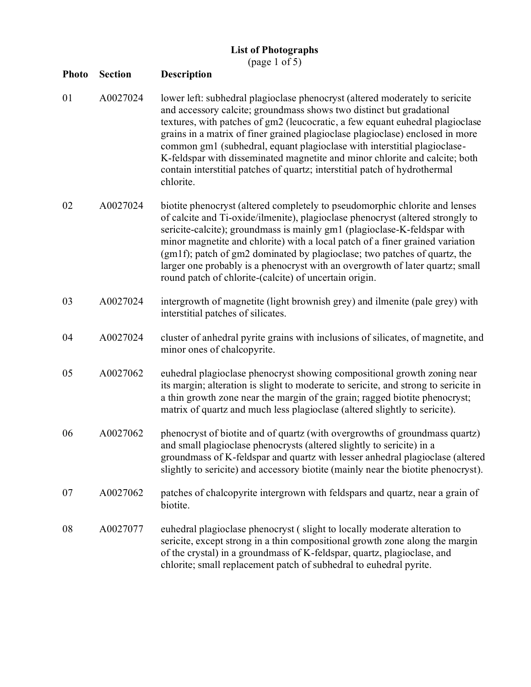| <b>List of Photographs</b> |  |
|----------------------------|--|
|----------------------------|--|

(page 1 of 5)

| <b>Photo</b> | <b>Section</b> | <b>Description</b>                                                                                                                                                                                                                                                                                                                                                                                                                                                                                                                                                           |
|--------------|----------------|------------------------------------------------------------------------------------------------------------------------------------------------------------------------------------------------------------------------------------------------------------------------------------------------------------------------------------------------------------------------------------------------------------------------------------------------------------------------------------------------------------------------------------------------------------------------------|
| 01           | A0027024       | lower left: subhedral plagioclase phenocryst (altered moderately to sericite<br>and accessory calcite; groundmass shows two distinct but gradational<br>textures, with patches of gm2 (leucocratic, a few equant euhedral plagioclase<br>grains in a matrix of finer grained plagioclase plagioclase) enclosed in more<br>common gm1 (subhedral, equant plagioclase with interstitial plagioclase-<br>K-feldspar with disseminated magnetite and minor chlorite and calcite; both<br>contain interstitial patches of quartz; interstitial patch of hydrothermal<br>chlorite. |
| 02           | A0027024       | biotite phenocryst (altered completely to pseudomorphic chlorite and lenses<br>of calcite and Ti-oxide/ilmenite), plagioclase phenocryst (altered strongly to<br>sericite-calcite); groundmass is mainly gm1 (plagioclase-K-feldspar with<br>minor magnetite and chlorite) with a local patch of a finer grained variation<br>(gm1f); patch of gm2 dominated by plagioclase; two patches of quartz, the<br>larger one probably is a phenocryst with an overgrowth of later quartz; small<br>round patch of chlorite-(calcite) of uncertain origin.                           |
| 03           | A0027024       | intergrowth of magnetite (light brownish grey) and ilmenite (pale grey) with<br>interstitial patches of silicates.                                                                                                                                                                                                                                                                                                                                                                                                                                                           |
| 04           | A0027024       | cluster of anhedral pyrite grains with inclusions of silicates, of magnetite, and<br>minor ones of chalcopyrite.                                                                                                                                                                                                                                                                                                                                                                                                                                                             |
| 05           | A0027062       | euhedral plagioclase phenocryst showing compositional growth zoning near<br>its margin; alteration is slight to moderate to sericite, and strong to sericite in<br>a thin growth zone near the margin of the grain; ragged biotite phenocryst;<br>matrix of quartz and much less plagioclase (altered slightly to sericite).                                                                                                                                                                                                                                                 |
| 06           | A0027062       | phenocryst of biotite and of quartz (with overgrowths of groundmass quartz)<br>and small plagioclase phenocrysts (altered slightly to sericite) in a<br>groundmass of K-feldspar and quartz with lesser anhedral plagioclase (altered<br>slightly to sericite) and accessory biotite (mainly near the biotite phenocryst).                                                                                                                                                                                                                                                   |
| 07           | A0027062       | patches of chalcopyrite intergrown with feldspars and quartz, near a grain of<br>biotite.                                                                                                                                                                                                                                                                                                                                                                                                                                                                                    |
| 08           | A0027077       | euhedral plagioclase phenocryst (slight to locally moderate alteration to<br>sericite, except strong in a thin compositional growth zone along the margin<br>of the crystal) in a groundmass of K-feldspar, quartz, plagioclase, and<br>chlorite; small replacement patch of subhedral to euhedral pyrite.                                                                                                                                                                                                                                                                   |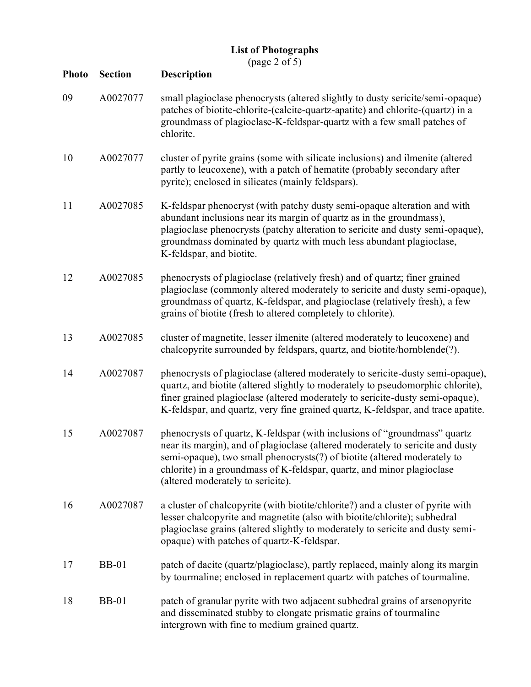(page 2 of 5)

| <b>Photo</b> | <b>Section</b> | <b>Description</b>                                                                                                                                                                                                                                                                                                                                     |
|--------------|----------------|--------------------------------------------------------------------------------------------------------------------------------------------------------------------------------------------------------------------------------------------------------------------------------------------------------------------------------------------------------|
| 09           | A0027077       | small plagioclase phenocrysts (altered slightly to dusty sericite/semi-opaque)<br>patches of biotite-chlorite-(calcite-quartz-apatite) and chlorite-(quartz) in a<br>groundmass of plagioclase-K-feldspar-quartz with a few small patches of<br>chlorite.                                                                                              |
| 10           | A0027077       | cluster of pyrite grains (some with silicate inclusions) and ilmenite (altered<br>partly to leucoxene), with a patch of hematite (probably secondary after<br>pyrite); enclosed in silicates (mainly feldspars).                                                                                                                                       |
| 11           | A0027085       | K-feldspar phenocryst (with patchy dusty semi-opaque alteration and with<br>abundant inclusions near its margin of quartz as in the groundmass),<br>plagioclase phenocrysts (patchy alteration to sericite and dusty semi-opaque),<br>groundmass dominated by quartz with much less abundant plagioclase,<br>K-feldspar, and biotite.                  |
| 12           | A0027085       | phenocrysts of plagioclase (relatively fresh) and of quartz; finer grained<br>plagioclase (commonly altered moderately to sericite and dusty semi-opaque),<br>groundmass of quartz, K-feldspar, and plagioclase (relatively fresh), a few<br>grains of biotite (fresh to altered completely to chlorite).                                              |
| 13           | A0027085       | cluster of magnetite, lesser ilmenite (altered moderately to leucoxene) and<br>chalcopyrite surrounded by feldspars, quartz, and biotite/hornblende(?).                                                                                                                                                                                                |
| 14           | A0027087       | phenocrysts of plagioclase (altered moderately to sericite-dusty semi-opaque),<br>quartz, and biotite (altered slightly to moderately to pseudomorphic chlorite),<br>finer grained plagioclase (altered moderately to sericite-dusty semi-opaque),<br>K-feldspar, and quartz, very fine grained quartz, K-feldspar, and trace apatite.                 |
| 15           | A0027087       | phenocrysts of quartz, K-feldspar (with inclusions of "groundmass" quartz<br>near its margin), and of plagioclase (altered moderately to sericite and dusty<br>semi-opaque), two small phenocrysts(?) of biotite (altered moderately to<br>chlorite) in a groundmass of K-feldspar, quartz, and minor plagioclase<br>(altered moderately to sericite). |
| 16           | A0027087       | a cluster of chalcopyrite (with biotite/chlorite?) and a cluster of pyrite with<br>lesser chalcopyrite and magnetite (also with biotite/chlorite); subhedral<br>plagioclase grains (altered slightly to moderately to sericite and dusty semi-<br>opaque) with patches of quartz-K-feldspar.                                                           |
| 17           | <b>BB-01</b>   | patch of dacite (quartz/plagioclase), partly replaced, mainly along its margin<br>by tourmaline; enclosed in replacement quartz with patches of tourmaline.                                                                                                                                                                                            |
| 18           | <b>BB-01</b>   | patch of granular pyrite with two adjacent subhedral grains of arsenopyrite<br>and disseminated stubby to elongate prismatic grains of tourmaline<br>intergrown with fine to medium grained quartz.                                                                                                                                                    |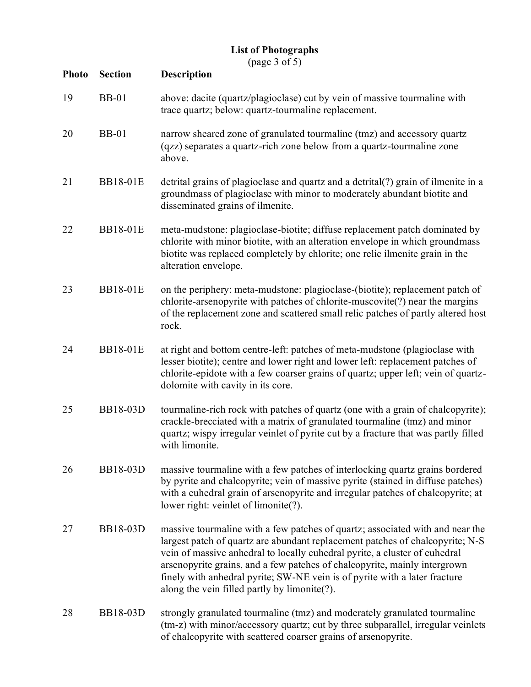(page 3 of 5)

| <b>Photo</b> | <b>Section</b>  | $(\mu u_S v \cup v_1 v)$<br><b>Description</b>                                                                                                                                                                                                                                                                                                                                                                                                          |
|--------------|-----------------|---------------------------------------------------------------------------------------------------------------------------------------------------------------------------------------------------------------------------------------------------------------------------------------------------------------------------------------------------------------------------------------------------------------------------------------------------------|
| 19           | <b>BB-01</b>    | above: dacite (quartz/plagioclase) cut by vein of massive tourmaline with<br>trace quartz; below: quartz-tourmaline replacement.                                                                                                                                                                                                                                                                                                                        |
| 20           | <b>BB-01</b>    | narrow sheared zone of granulated tourmaline (tmz) and accessory quartz<br>(qzz) separates a quartz-rich zone below from a quartz-tourmaline zone<br>above.                                                                                                                                                                                                                                                                                             |
| 21           | <b>BB18-01E</b> | detrital grains of plagioclase and quartz and a detrital(?) grain of ilmenite in a<br>groundmass of plagioclase with minor to moderately abundant biotite and<br>disseminated grains of ilmenite.                                                                                                                                                                                                                                                       |
| 22           | <b>BB18-01E</b> | meta-mudstone: plagioclase-biotite; diffuse replacement patch dominated by<br>chlorite with minor biotite, with an alteration envelope in which groundmass<br>biotite was replaced completely by chlorite; one relic ilmenite grain in the<br>alteration envelope.                                                                                                                                                                                      |
| 23           | <b>BB18-01E</b> | on the periphery: meta-mudstone: plagioclase-(biotite); replacement patch of<br>chlorite-arsenopyrite with patches of chlorite-muscovite(?) near the margins<br>of the replacement zone and scattered small relic patches of partly altered host<br>rock.                                                                                                                                                                                               |
| 24           | <b>BB18-01E</b> | at right and bottom centre-left: patches of meta-mudstone (plagioclase with<br>lesser biotite); centre and lower right and lower left: replacement patches of<br>chlorite-epidote with a few coarser grains of quartz; upper left; vein of quartz-<br>dolomite with cavity in its core.                                                                                                                                                                 |
| 25           | BB18-03D        | tourmaline-rich rock with patches of quartz (one with a grain of chalcopyrite);<br>crackle-brecciated with a matrix of granulated tourmaline (tmz) and minor<br>quartz; wispy irregular veinlet of pyrite cut by a fracture that was partly filled<br>with limonite.                                                                                                                                                                                    |
| 26           | BB18-03D        | massive tourmaline with a few patches of interlocking quartz grains bordered<br>by pyrite and chalcopyrite; vein of massive pyrite (stained in diffuse patches)<br>with a euhedral grain of arsenopyrite and irregular patches of chalcopyrite; at<br>lower right: veinlet of limonite(?).                                                                                                                                                              |
| 27           | <b>BB18-03D</b> | massive tourmaline with a few patches of quartz; associated with and near the<br>largest patch of quartz are abundant replacement patches of chalcopyrite; N-S<br>vein of massive anhedral to locally euhedral pyrite, a cluster of euhedral<br>arsenopyrite grains, and a few patches of chalcopyrite, mainly intergrown<br>finely with anhedral pyrite; SW-NE vein is of pyrite with a later fracture<br>along the vein filled partly by limonite(?). |
| 28           | BB18-03D        | strongly granulated tourmaline (tmz) and moderately granulated tourmaline<br>(tm-z) with minor/accessory quartz; cut by three subparallel, irregular veinlets<br>of chalcopyrite with scattered coarser grains of arsenopyrite.                                                                                                                                                                                                                         |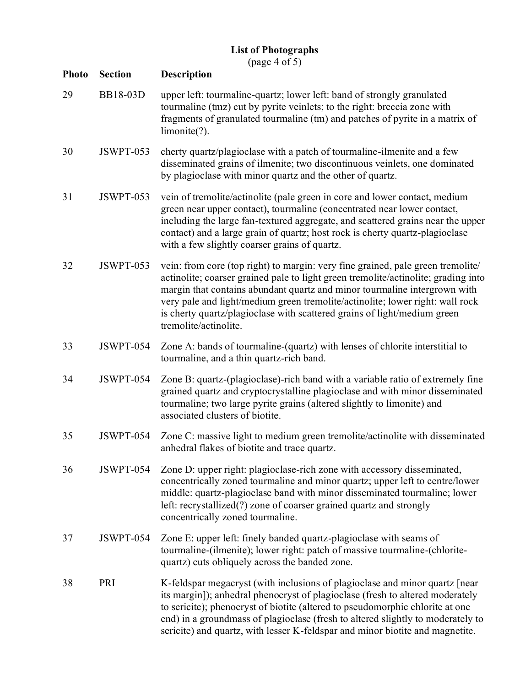(page 4 of 5)

| <b>Photo</b> | <b>Section</b>  | <b>Description</b>                                                                                                                                                                                                                                                                                                                                                                                                                       |
|--------------|-----------------|------------------------------------------------------------------------------------------------------------------------------------------------------------------------------------------------------------------------------------------------------------------------------------------------------------------------------------------------------------------------------------------------------------------------------------------|
| 29           | <b>BB18-03D</b> | upper left: tourmaline-quartz; lower left: band of strongly granulated<br>tourmaline (tmz) cut by pyrite veinlets; to the right: breccia zone with<br>fragments of granulated tourmaline (tm) and patches of pyrite in a matrix of<br>limonite(?).                                                                                                                                                                                       |
| 30           | JSWPT-053       | cherty quartz/plagioclase with a patch of tourmaline-ilmenite and a few<br>disseminated grains of ilmenite; two discontinuous veinlets, one dominated<br>by plagioclase with minor quartz and the other of quartz.                                                                                                                                                                                                                       |
| 31           | JSWPT-053       | vein of tremolite/actinolite (pale green in core and lower contact, medium<br>green near upper contact), tourmaline (concentrated near lower contact,<br>including the large fan-textured aggregate, and scattered grains near the upper<br>contact) and a large grain of quartz; host rock is cherty quartz-plagioclase<br>with a few slightly coarser grains of quartz.                                                                |
| 32           | JSWPT-053       | vein: from core (top right) to margin: very fine grained, pale green tremolite/<br>actinolite; coarser grained pale to light green tremolite/actinolite; grading into<br>margin that contains abundant quartz and minor tourmaline intergrown with<br>very pale and light/medium green tremolite/actinolite; lower right: wall rock<br>is cherty quartz/plagioclase with scattered grains of light/medium green<br>tremolite/actinolite. |
| 33           | JSWPT-054       | Zone A: bands of tourmaline-(quartz) with lenses of chlorite interstitial to<br>tourmaline, and a thin quartz-rich band.                                                                                                                                                                                                                                                                                                                 |
| 34           | JSWPT-054       | Zone B: quartz-(plagioclase)-rich band with a variable ratio of extremely fine<br>grained quartz and cryptocrystalline plagioclase and with minor disseminated<br>tourmaline; two large pyrite grains (altered slightly to limonite) and<br>associated clusters of biotite.                                                                                                                                                              |
| 35           | JSWPT-054       | Zone C: massive light to medium green tremolite/actinolite with disseminated<br>anhedral flakes of biotite and trace quartz.                                                                                                                                                                                                                                                                                                             |
| 36           | JSWPT-054       | Zone D: upper right: plagioclase-rich zone with accessory disseminated,<br>concentrically zoned tourmaline and minor quartz; upper left to centre/lower<br>middle: quartz-plagioclase band with minor disseminated tourmaline; lower<br>left: recrystallized(?) zone of coarser grained quartz and strongly<br>concentrically zoned tourmaline.                                                                                          |
| 37           | JSWPT-054       | Zone E: upper left: finely banded quartz-plagioclase with seams of<br>tourmaline-(ilmenite); lower right: patch of massive tourmaline-(chlorite-<br>quartz) cuts obliquely across the banded zone.                                                                                                                                                                                                                                       |
| 38           | PRI             | K-feldspar megacryst (with inclusions of plagioclase and minor quartz [near<br>its margin]); anhedral phenocryst of plagioclase (fresh to altered moderately<br>to sericite); phenocryst of biotite (altered to pseudomorphic chlorite at one<br>end) in a groundmass of plagioclase (fresh to altered slightly to moderately to<br>sericite) and quartz, with lesser K-feldspar and minor biotite and magnetite.                        |